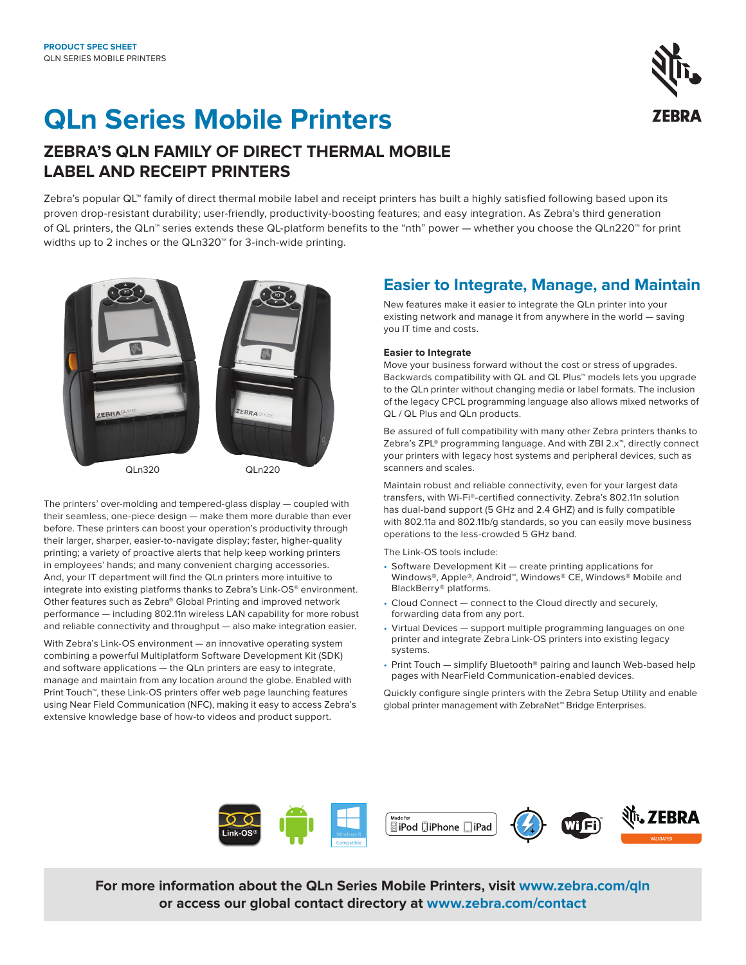# **QLn Series Mobile Printers**



# **ZEBRA'S QLN FAMILY OF DIRECT THERMAL MOBILE LABEL AND RECEIPT PRINTERS**

Zebra's popular QL™ family of direct thermal mobile label and receipt printers has built a highly satisfied following based upon its proven drop-resistant durability; user-friendly, productivity-boosting features; and easy integration. As Zebra's third generation of QL printers, the QLn™ series extends these QL-platform benefits to the "nth" power — whether you choose the QLn220™ for print widths up to 2 inches or the QLn320™ for 3-inch-wide printing.



The printers' over-molding and tempered-glass display — coupled with their seamless, one-piece design — make them more durable than ever before. These printers can boost your operation's productivity through their larger, sharper, easier-to-navigate display; faster, higher-quality printing; a variety of proactive alerts that help keep working printers in employees' hands; and many convenient charging accessories. And, your IT department will find the QLn printers more intuitive to integrate into existing platforms thanks to Zebra's Link-OS® environment. Other features such as Zebra® Global Printing and improved network performance — including 802.11n wireless LAN capability for more robust and reliable connectivity and throughput — also make integration easier.

With Zebra's Link-OS environment — an innovative operating system combining a powerful Multiplatform Software Development Kit (SDK) and software applications — the QLn printers are easy to integrate, manage and maintain from any location around the globe. Enabled with Print Touch™, these Link-OS printers offer web page launching features using Near Field Communication (NFC), making it easy to access Zebra's extensive knowledge base of how-to videos and product support.

# **Easier to Integrate, Manage, and Maintain**

New features make it easier to integrate the QLn printer into your existing network and manage it from anywhere in the world — saving you IT time and costs.

### **Easier to Integrate**

Move your business forward without the cost or stress of upgrades. Backwards compatibility with QL and QL Plus™ models lets you upgrade to the QLn printer without changing media or label formats. The inclusion of the legacy CPCL programming language also allows mixed networks of QL / QL Plus and QLn products.

Be assured of full compatibility with many other Zebra printers thanks to Zebra's ZPL® programming language. And with ZBI 2.x™, directly connect your printers with legacy host systems and peripheral devices, such as scanners and scales.

Maintain robust and reliable connectivity, even for your largest data transfers, with Wi-Fi®-certified connectivity. Zebra's 802.11n solution has dual-band support (5 GHz and 2.4 GHZ) and is fully compatible with 802.11a and 802.11b/g standards, so you can easily move business operations to the less-crowded 5 GHz band.

The Link-OS tools include:

- Software Development Kit create printing applications for Windows®, Apple®, Android™, Windows® CE, Windows® Mobile and BlackBerry® platforms.
- Cloud Connect connect to the Cloud directly and securely, forwarding data from any port.
- Virtual Devices support multiple programming languages on one printer and integrate Zebra Link-OS printers into existing legacy systems.
- Print Touch simplify Bluetooth® pairing and launch Web-based help pages with NearField Communication-enabled devices.

Quickly configure single printers with the Zebra Setup Utility and enable global printer management with ZebraNet<sup>™</sup> Bridge Enterprises.



**For more information about the QLn Series Mobile Printers, visit [www.zebra.com/qln](https://www.zebra.com/us/en/products/printers/mobile/qln-series.html) or access our global contact directory at [www.zebra.com/contact](https://www.zebra.com/us/en/about-zebra/contact-us/contact-zebra.html)**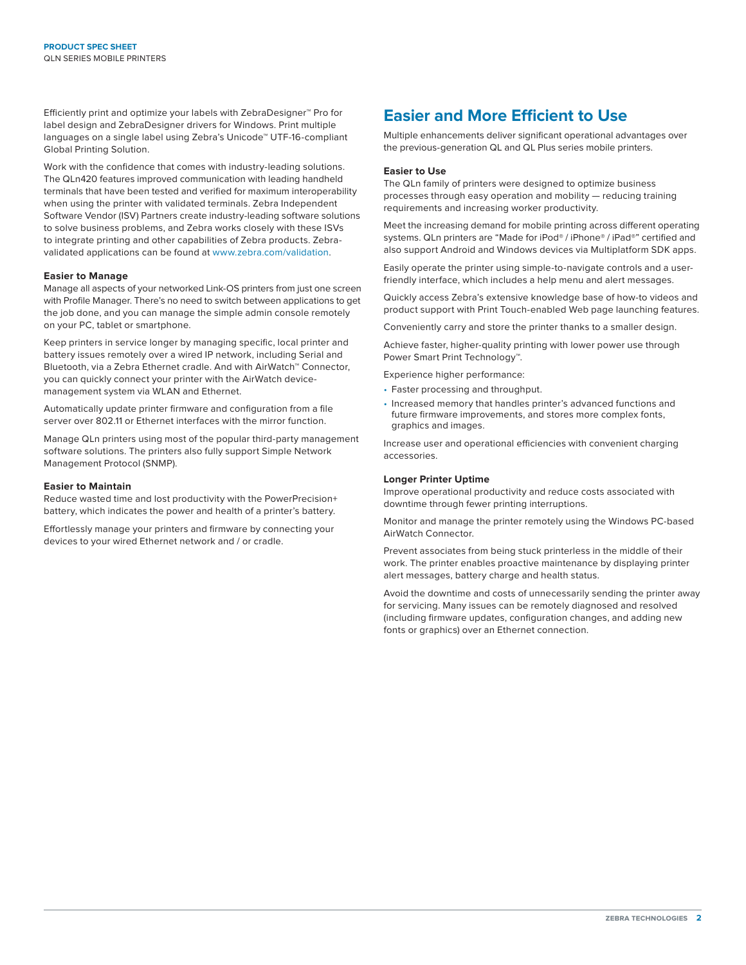Efficiently print and optimize your labels with ZebraDesigner™ Pro for label design and ZebraDesigner drivers for Windows. Print multiple languages on a single label using Zebra's Unicode™ UTF-16-compliant Global Printing Solution.

Work with the confidence that comes with industry-leading solutions. The QLn420 features improved communication with leading handheld terminals that have been tested and verified for maximum interoperability when using the printer with validated terminals. Zebra Independent Software Vendor (ISV) Partners create industry-leading software solutions to solve business problems, and Zebra works closely with these ISVs to integrate printing and other capabilities of Zebra products. Zebravalidated applications can be found at [www.zebra.com/validation.](https://www.zebra.com/us/en/partners/partnersfirst-partners/become-a-partner/isv/validation-program.html)

#### **Easier to Manage**

Manage all aspects of your networked Link-OS printers from just one screen with Profile Manager. There's no need to switch between applications to get the job done, and you can manage the simple admin console remotely on your PC, tablet or smartphone.

Keep printers in service longer by managing specific, local printer and battery issues remotely over a wired IP network, including Serial and Bluetooth, via a Zebra Ethernet cradle. And with AirWatch™ Connector, you can quickly connect your printer with the AirWatch devicemanagement system via WLAN and Ethernet.

Automatically update printer firmware and configuration from a file server over 802.11 or Ethernet interfaces with the mirror function.

Manage QLn printers using most of the popular third-party management software solutions. The printers also fully support Simple Network Management Protocol (SNMP).

#### **Easier to Maintain**

Reduce wasted time and lost productivity with the PowerPrecision+ battery, which indicates the power and health of a printer's battery.

Effortlessly manage your printers and firmware by connecting your devices to your wired Ethernet network and / or cradle.

# **Easier and More Efficient to Use**

Multiple enhancements deliver significant operational advantages over the previous-generation QL and QL Plus series mobile printers.

#### **Easier to Use**

The QLn family of printers were designed to optimize business processes through easy operation and mobility — reducing training requirements and increasing worker productivity.

Meet the increasing demand for mobile printing across different operating systems. QLn printers are "Made for iPod® / iPhone® / iPad®" certified and also support Android and Windows devices via Multiplatform SDK apps.

Easily operate the printer using simple-to-navigate controls and a userfriendly interface, which includes a help menu and alert messages.

Quickly access Zebra's extensive knowledge base of how-to videos and product support with Print Touch-enabled Web page launching features.

Conveniently carry and store the printer thanks to a smaller design.

Achieve faster, higher-quality printing with lower power use through Power Smart Print Technology™.

Experience higher performance:

- Faster processing and throughput.
- Increased memory that handles printer's advanced functions and future firmware improvements, and stores more complex fonts, graphics and images.

Increase user and operational efficiencies with convenient charging accessories.

#### **Longer Printer Uptime**

Improve operational productivity and reduce costs associated with downtime through fewer printing interruptions.

Monitor and manage the printer remotely using the Windows PC-based AirWatch Connector.

Prevent associates from being stuck printerless in the middle of their work. The printer enables proactive maintenance by displaying printer alert messages, battery charge and health status.

Avoid the downtime and costs of unnecessarily sending the printer away for servicing. Many issues can be remotely diagnosed and resolved (including firmware updates, configuration changes, and adding new fonts or graphics) over an Ethernet connection.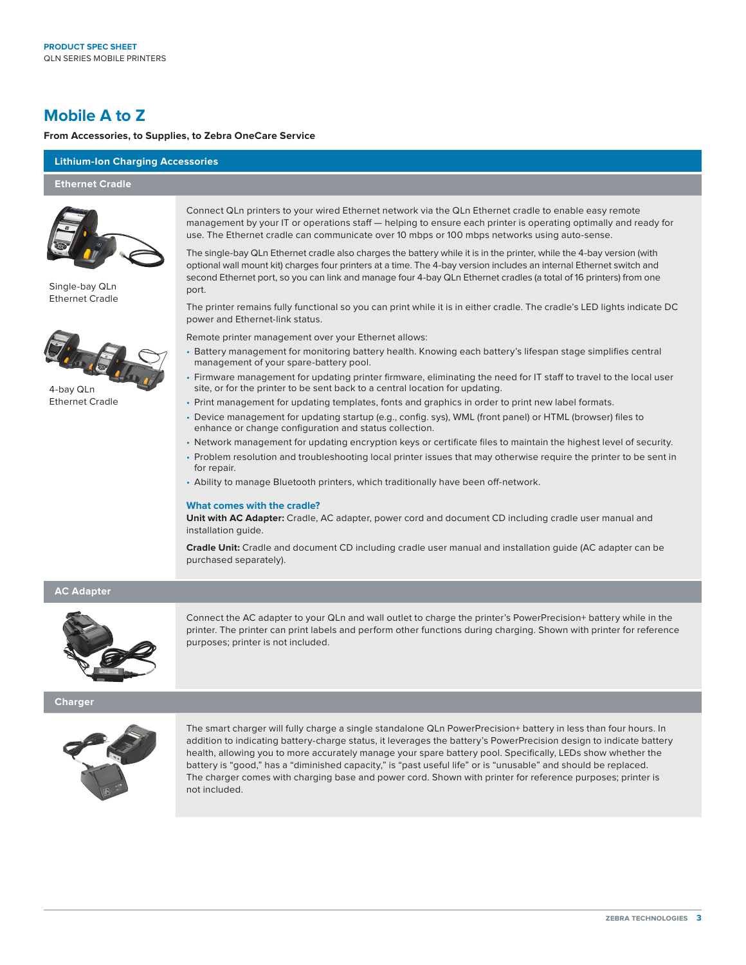# **Mobile A to Z**

#### **From Accessories, to Supplies, to Zebra OneCare Service**

#### **Lithium-Ion Charging Accessories**

**Ethernet Cradle**



Single-bay QLn Ethernet Cradle



4-bay QLn Ethernet Cradle

Connect QLn printers to your wired Ethernet network via the QLn Ethernet cradle to enable easy remote management by your IT or operations staff — helping to ensure each printer is operating optimally and ready for use. The Ethernet cradle can communicate over 10 mbps or 100 mbps networks using auto-sense.

The single-bay QLn Ethernet cradle also charges the battery while it is in the printer, while the 4-bay version (with optional wall mount kit) charges four printers at a time. The 4-bay version includes an internal Ethernet switch and second Ethernet port, so you can link and manage four 4-bay QLn Ethernet cradles (a total of 16 printers) from one port.

The printer remains fully functional so you can print while it is in either cradle. The cradle's LED lights indicate DC power and Ethernet-link status.

Remote printer management over your Ethernet allows:

- Battery management for monitoring battery health. Knowing each battery's lifespan stage simplifies central management of your spare-battery pool.
- Firmware management for updating printer firmware, eliminating the need for IT staff to travel to the local user site, or for the printer to be sent back to a central location for updating.
- Print management for updating templates, fonts and graphics in order to print new label formats.
- Device management for updating startup (e.g., config. sys), WML (front panel) or HTML (browser) files to enhance or change configuration and status collection.
- Network management for updating encryption keys or certificate files to maintain the highest level of security.
- Problem resolution and troubleshooting local printer issues that may otherwise require the printer to be sent in for repair.
- Ability to manage Bluetooth printers, which traditionally have been off-network.

#### **What comes with the cradle?**

**Unit with AC Adapter:** Cradle, AC adapter, power cord and document CD including cradle user manual and installation guide.

**Cradle Unit:** Cradle and document CD including cradle user manual and installation guide (AC adapter can be purchased separately).

### **AC Adapter**



Connect the AC adapter to your QLn and wall outlet to charge the printer's PowerPrecision+ battery while in the printer. The printer can print labels and perform other functions during charging. Shown with printer for reference purposes; printer is not included.

**Charger**



The smart charger will fully charge a single standalone QLn PowerPrecision+ battery in less than four hours. In addition to indicating battery-charge status, it leverages the battery's PowerPrecision design to indicate battery health, allowing you to more accurately manage your spare battery pool. Specifically, LEDs show whether the battery is "good," has a "diminished capacity," is "past useful life" or is "unusable" and should be replaced. The charger comes with charging base and power cord. Shown with printer for reference purposes; printer is not included.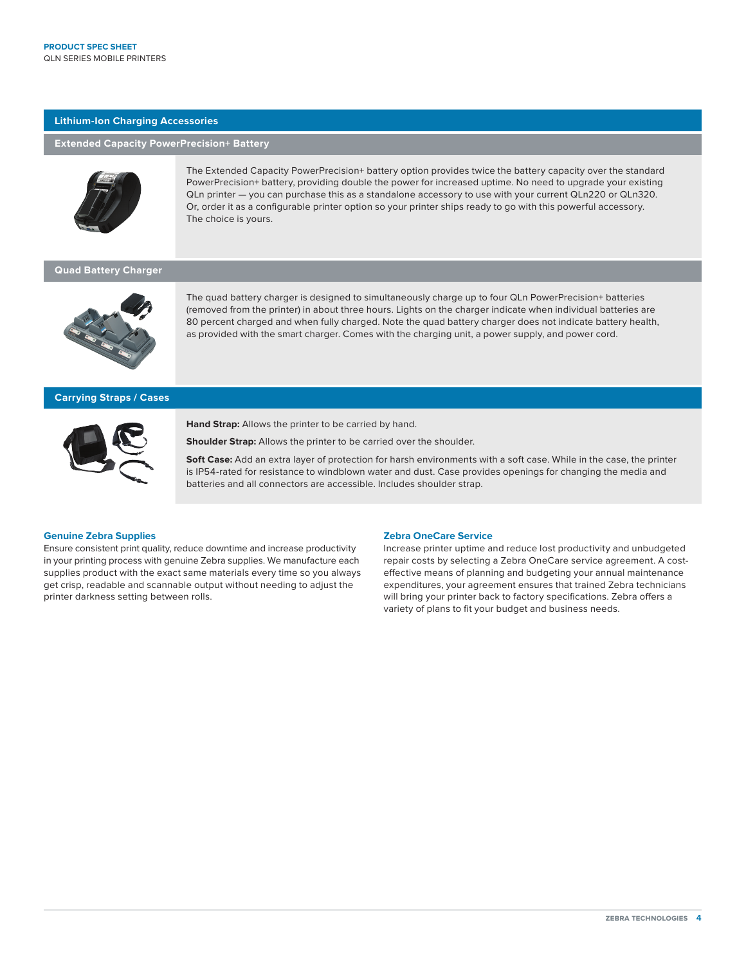### **Lithium-Ion Charging Accessories**

#### **Extended Capacity PowerPrecision+ Battery**



The Extended Capacity PowerPrecision+ battery option provides twice the battery capacity over the standard PowerPrecision+ battery, providing double the power for increased uptime. No need to upgrade your existing QLn printer — you can purchase this as a standalone accessory to use with your current QLn220 or QLn320. Or, order it as a configurable printer option so your printer ships ready to go with this powerful accessory. The choice is yours.

# **Quad Battery Charger**



The quad battery charger is designed to simultaneously charge up to four QLn PowerPrecision+ batteries (removed from the printer) in about three hours. Lights on the charger indicate when individual batteries are 80 percent charged and when fully charged. Note the quad battery charger does not indicate battery health, as provided with the smart charger. Comes with the charging unit, a power supply, and power cord.

#### **Carrying Straps / Cases**



**Hand Strap:** Allows the printer to be carried by hand.

**Shoulder Strap:** Allows the printer to be carried over the shoulder.

**Soft Case:** Add an extra layer of protection for harsh environments with a soft case. While in the case, the printer is IP54-rated for resistance to windblown water and dust. Case provides openings for changing the media and batteries and all connectors are accessible. Includes shoulder strap.

#### **Genuine Zebra Supplies**

Ensure consistent print quality, reduce downtime and increase productivity in your printing process with genuine Zebra supplies. We manufacture each supplies product with the exact same materials every time so you always get crisp, readable and scannable output without needing to adjust the printer darkness setting between rolls.

#### **Zebra OneCare Service**

Increase printer uptime and reduce lost productivity and unbudgeted repair costs by selecting a Zebra OneCare service agreement. A costeffective means of planning and budgeting your annual maintenance expenditures, your agreement ensures that trained Zebra technicians will bring your printer back to factory specifications. Zebra offers a variety of plans to fit your budget and business needs.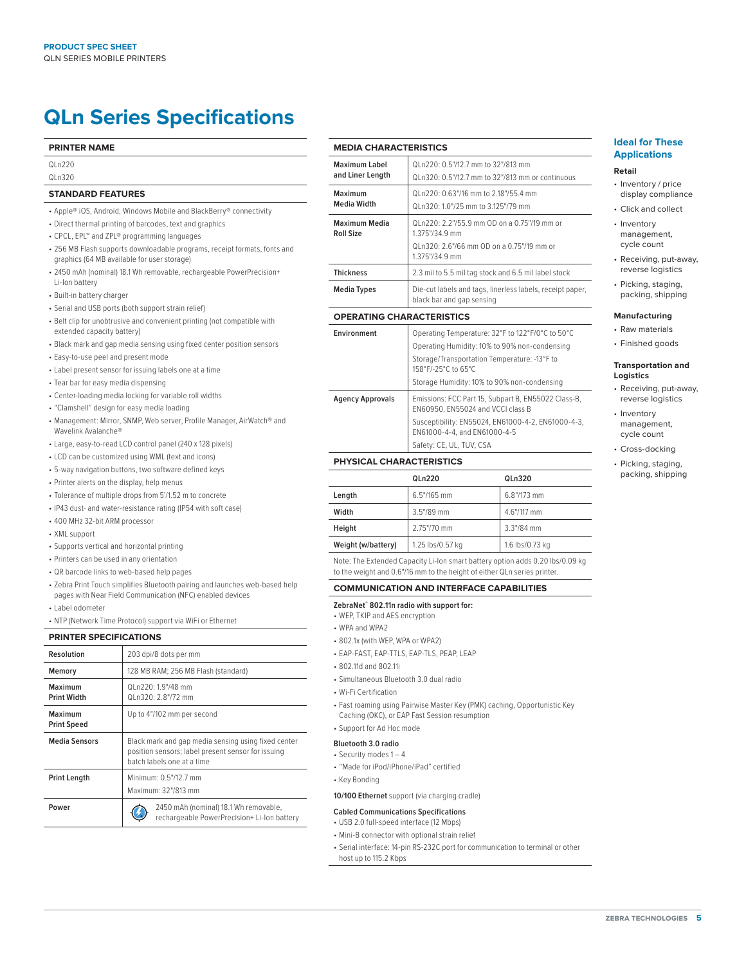# **QLn Series Specifications**

#### **PRINTER NAME**

# QLn220

QLn320

## **STANDARD FEATURES**

- Apple® iOS, Android, Windows Mobile and BlackBerry® connectivity
- Direct thermal printing of barcodes, text and graphics
- CPCL, EPL™ and ZPL® programming languages
- 256 MB Flash supports downloadable programs, receipt formats, fonts and graphics (64 MB available for user storage)
- 2450 mAh (nominal) 18.1 Wh removable, rechargeable PowerPrecision+ Li-Ion battery
- Built-in battery charger
- Serial and USB ports (both support strain relief)
- Belt clip for unobtrusive and convenient printing (not compatible with extended capacity battery)
- Black mark and gap media sensing using fixed center position sensors
- Easy-to-use peel and present mode
- Label present sensor for issuing labels one at a time
- Tear bar for easy media dispensing
- Center-loading media locking for variable roll widths
- "Clamshell" design for easy media loading
- Management: Mirror, SNMP, Web server, Profile Manager, AirWatch® and Wavelink Avalanche®
- Large, easy-to-read LCD control panel (240 x 128 pixels)
- LCD can be customized using WML (text and icons)
- 5-way navigation buttons, two software defined keys
- Printer alerts on the display, help menus
- Tolerance of multiple drops from 5'/1.52 m to concrete
- IP43 dust- and water-resistance rating (IP54 with soft case)
- 400 MHz 32-bit ARM processor
- XML support
- Supports vertical and horizontal printing
- Printers can be used in any orientation
- QR barcode links to web-based help pages
- Zebra Print Touch simplifies Bluetooth pairing and launches web-based help pages with Near Field Communication (NFC) enabled devices
- Label odometer
- NTP (Network Time Protocol) support via WiFi or Ethernet

#### **PRINTER SPECIFICATIONS**

| Resolution                    | 203 dpi/8 dots per mm                                                                                                                   |  |  |
|-------------------------------|-----------------------------------------------------------------------------------------------------------------------------------------|--|--|
|                               |                                                                                                                                         |  |  |
| Memory                        | 128 MB RAM; 256 MB Flash (standard)                                                                                                     |  |  |
| Maximum<br><b>Print Width</b> | QI n220: 1.9"/48 mm<br>QI n320: 2.8"/72 mm                                                                                              |  |  |
| Maximum<br><b>Print Speed</b> | Up to 4"/102 mm per second                                                                                                              |  |  |
| <b>Media Sensors</b>          | Black mark and gap media sensing using fixed center<br>position sensors; label present sensor for issuing<br>batch labels one at a time |  |  |
| <b>Print Length</b>           | Minimum: 0.5"/12.7 mm<br>Maximum: 32"/813 mm                                                                                            |  |  |
| Power                         | 2450 mAh (nominal) 18.1 Wh removable,<br>rechargeable PowerPrecision+ Li-Ion battery                                                    |  |  |

#### **MEDIA CHARACTERISTICS**

| Maximum Label<br>and Liner Length | QLn220: 0.5"/12.7 mm to 32"/813 mm<br>QLn320: 0.5"/12.7 mm to 32"/813 mm or continuous                                         |  |  |
|-----------------------------------|--------------------------------------------------------------------------------------------------------------------------------|--|--|
| Maximum<br>Media Width            | QLn220: 0.63"/16 mm to 2.18"/55.4 mm<br>QLn320: 1.0"/25 mm to 3.125"/79 mm                                                     |  |  |
| Maximum Media<br>Roll Size        | QL n220: 2.2"/55.9 mm OD on a 0.75"/19 mm or<br>1.375"/34.9 mm<br>QL n320: 2.6"/66 mm OD on a 0.75"/19 mm or<br>1.375"/34.9 mm |  |  |
| <b>Thickness</b>                  | 2.3 mil to 5.5 mil tag stock and 6.5 mil label stock                                                                           |  |  |
| Media Types                       | Die-cut labels and tags, linerless labels, receipt paper,<br>black bar and gap sensing                                         |  |  |
| <b>OPERATING CHARACTERISTICS</b>  |                                                                                                                                |  |  |

| Environment      | Operating Temperature: 32°F to 122°F/0°C to 50°C                                         |  |
|------------------|------------------------------------------------------------------------------------------|--|
|                  | Operating Humidity: 10% to 90% non-condensing                                            |  |
|                  | Storage/Transportation Temperature: -13°F to<br>158°F/-25°C to 65°C                      |  |
|                  | Storage Humidity: 10% to 90% non-condensing                                              |  |
|                  |                                                                                          |  |
| Agency Approvals | Emissions: FCC Part 15, Subpart B, EN55022 Class-B,<br>EN60950, EN55024 and VCCI class B |  |
|                  | Susceptibility: EN55024, EN61000-4-2, EN61000-4-3,<br>EN61000-4-4, and EN61000-4-5       |  |

#### **PHYSICAL CHARACTERISTICS**

|                    | QLn220           | QLn320          |
|--------------------|------------------|-----------------|
| Length             | 6.5"/165 mm      | 6.8"/173 mm     |
| Width              | 3.5"/89 mm       | 4.6"/117 mm     |
| Height             | 2.75"/70 mm      | 3.3"/84 mm      |
| Weight (w/battery) | 1.25 lbs/0.57 kg | 1.6 lbs/0.73 kg |

Note: The Extended Capacity Li-Ion smart battery option adds 0.20 lbs/0.09 kg to the weight and 0.6"/16 mm to the height of either QLn series printer.

#### **COMMUNICATION AND INTERFACE CAPABILITIES**

#### **ZebraNet® 802.11n radio with support for:**

- WEP, TKIP and AES encryption
- WPA and WPA2
- 802.1x (with WEP, WPA or WPA2)
- EAP-FAST, EAP-TTLS, EAP-TLS, PEAP, LEAP
- 802.11d and 802.11i
- 
- Simultaneous Bluetooth 3.0 dual radio
- Wi-Fi Certification
- Fast roaming using Pairwise Master Key (PMK) caching, Opportunistic Key Caching (OKC), or EAP Fast Session resumption
- Support for Ad Hoc mode

#### **Bluetooth 3.0 radio**

- Security modes 1 4
- "Made for iPod/iPhone/iPad" certified
- Key Bonding

#### **10/100 Ethernet** support (via charging cradle)

#### **Cabled Communications Specifications**

- USB 2.0 full-speed interface (12 Mbps)
- Mini-B connector with optional strain relief
- Serial interface: 14-pin RS-232C port for communication to terminal or other
- host up to 115.2 Kbps

## **Ideal for These Applications**

# **Retail**

- Inventory / price display compliance
- Click and collect
- Inventory management, cycle count
- Receiving, put-away, reverse logistics
- Picking, staging, packing, shipping

#### **Manufacturing**

- Raw materials
- Finished goods

#### **Transportation and Logistics**

- Receiving, put-away, reverse logistics
- Inventory management, cycle count
- Cross-docking
- Picking, staging, packing, shipping